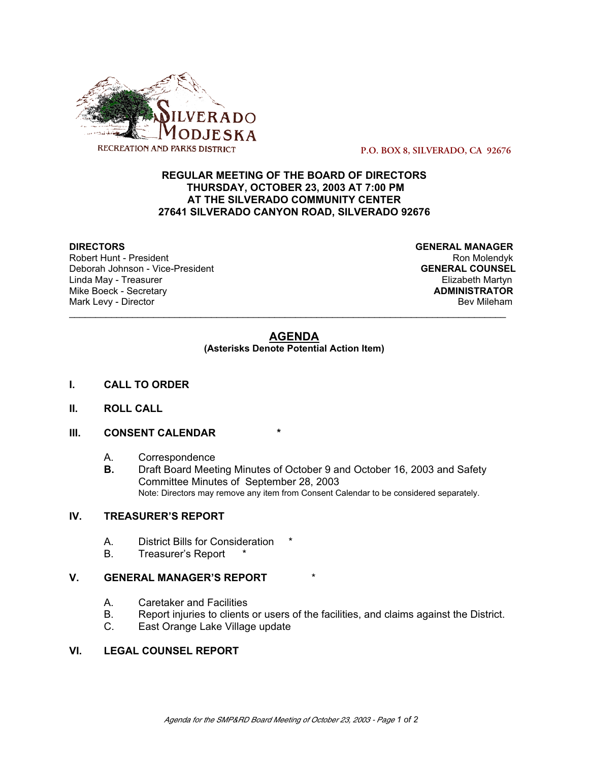

 **P.O. BOX 8, SILVERADO, CA 92676**

## **REGULAR MEETING OF THE BOARD OF DIRECTORS THURSDAY, OCTOBER 23, 2003 AT 7:00 PM AT THE SILVERADO COMMUNITY CENTER 27641 SILVERADO CANYON ROAD, SILVERADO 92676**

Robert Hunt - President National Robert Hunt - President National Robert Hunt - Ron Molendyk Deborah Johnson - Vice-President **GENERAL COUNSEL** Linda May - Treasurer Elizabeth Martyn<br>
Mike Boeck - Secretary **Elizabeth Martyn**<br>
Mike Boeck - Secretary **Mike Boeck - Secretary** Mark Levy - Director **Bev Mileham** 

**DIRECTORS GENERAL MANAGER**

## **AGENDA**

\_\_\_\_\_\_\_\_\_\_\_\_\_\_\_\_\_\_\_\_\_\_\_\_\_\_\_\_\_\_\_\_\_\_\_\_\_\_\_\_\_\_\_\_\_\_\_\_\_\_\_\_\_\_\_\_\_\_\_\_\_\_\_\_\_\_\_\_\_\_\_\_\_\_\_\_\_\_\_\_\_\_\_

**(Asterisks Denote Potential Action Item)**

- **I. CALL TO ORDER**
- **II. ROLL CALL**

### **III. CONSENT CALENDAR**

- A. Correspondence
- **B.** Draft Board Meeting Minutes of October 9 and October 16, 2003 and Safety Committee Minutes of September 28, 2003 Note: Directors may remove any item from Consent Calendar to be considered separately.

## **IV. TREASURER'S REPORT**

- A. District Bills for Consideration
- B. Treasurer's Report

#### **V. GENERAL MANAGER'S REPORT**

- A. Caretaker and Facilities
- B. Report injuries to clients or users of the facilities, and claims against the District.
- C. East Orange Lake Village update

#### **VI. LEGAL COUNSEL REPORT**